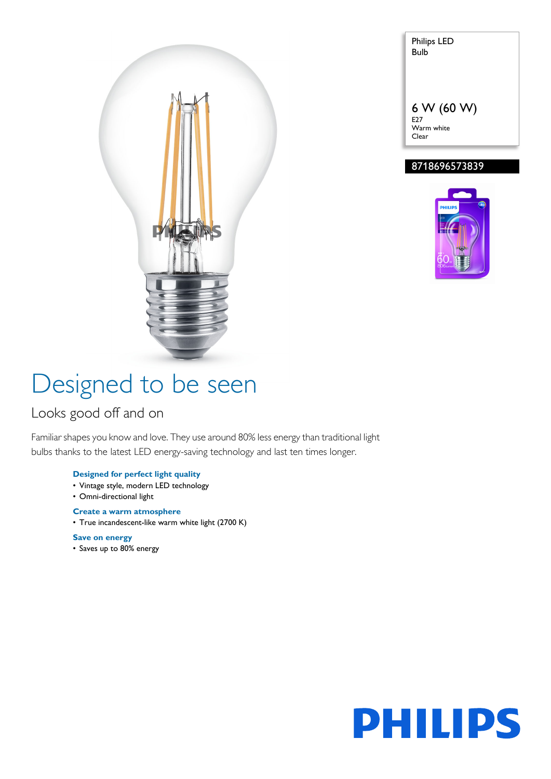

### Warm white Clear 8718696573839



Philips LED Bulb

6 W (60 W)

E27

# Designed to be seen

### Looks good off and on

Familiar shapes you know and love. They use around 80% less energy than traditional light bulbs thanks to the latest LED energy-saving technology and last ten times longer.

#### **Designed for perfect light quality**

- Vintage style, modern LED technology
- Omni-directional light

#### **Create a warm atmosphere**

• True incandescent-like warm white light (2700 K)

**Save on energy** • Saves up to 80% energy